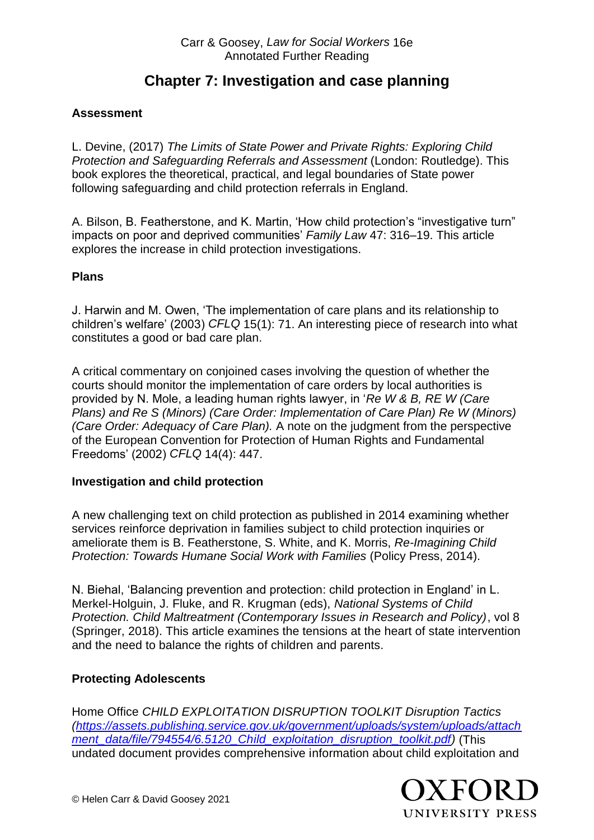#### Carr & Goosey, *Law for Social Workers* 16e Annotated Further Reading

# **Chapter 7: Investigation and case planning**

# **Assessment**

L. Devine, (2017) *The Limits of State Power and Private Rights: Exploring Child Protection and Safeguarding Referrals and Assessment* (London: Routledge). This book explores the theoretical, practical, and legal boundaries of State power following safeguarding and child protection referrals in England.

A. Bilson, B. Featherstone, and K. Martin, 'How child protection's "investigative turn" impacts on poor and deprived communities' *Family Law* 47: 316–19. This article explores the increase in child protection investigations.

#### **Plans**

J. Harwin and M. Owen, 'The implementation of care plans and its relationship to children's welfare' (2003) *CFLQ* 15(1): 71. An interesting piece of research into what constitutes a good or bad care plan.

A critical commentary on conjoined cases involving the question of whether the courts should monitor the implementation of care orders by local authorities is provided by N. Mole, a leading human rights lawyer, in '*Re W & B, RE W (Care Plans) and Re S (Minors) (Care Order: Implementation of Care Plan) Re W (Minors) (Care Order: Adequacy of Care Plan).* A note on the judgment from the perspective of the European Convention for Protection of Human Rights and Fundamental Freedoms' (2002) *CFLQ* 14(4): 447.

## **Investigation and child protection**

A new challenging text on child protection as published in 2014 examining whether services reinforce deprivation in families subject to child protection inquiries or ameliorate them is B. Featherstone, S. White, and K. Morris, *Re-Imagining Child Protection: Towards Humane Social Work with Families* (Policy Press, 2014).

N. Biehal, 'Balancing prevention and protection: child protection in England' in L. Merkel-Holguin, J. Fluke, and R. Krugman (eds), *National Systems of Child Protection. Child Maltreatment (Contemporary Issues in Research and Policy)*, vol 8 (Springer, 2018). This article examines the tensions at the heart of state intervention and the need to balance the rights of children and parents.

## **Protecting Adolescents**

Home Office *CHILD EXPLOITATION DISRUPTION TOOLKIT Disruption Tactics [\(https://assets.publishing.service.gov.uk/government/uploads/system/uploads/attach](https://assets.publishing.service.gov.uk/government/uploads/system/uploads/attachment_data/file/794554/6.5120_Child_exploitation_disruption_toolkit.pdf) [ment\\_data/file/794554/6.5120\\_Child\\_exploitation\\_disruption\\_toolkit.pdf\)](https://assets.publishing.service.gov.uk/government/uploads/system/uploads/attachment_data/file/794554/6.5120_Child_exploitation_disruption_toolkit.pdf)* (This undated document provides comprehensive information about child exploitation and